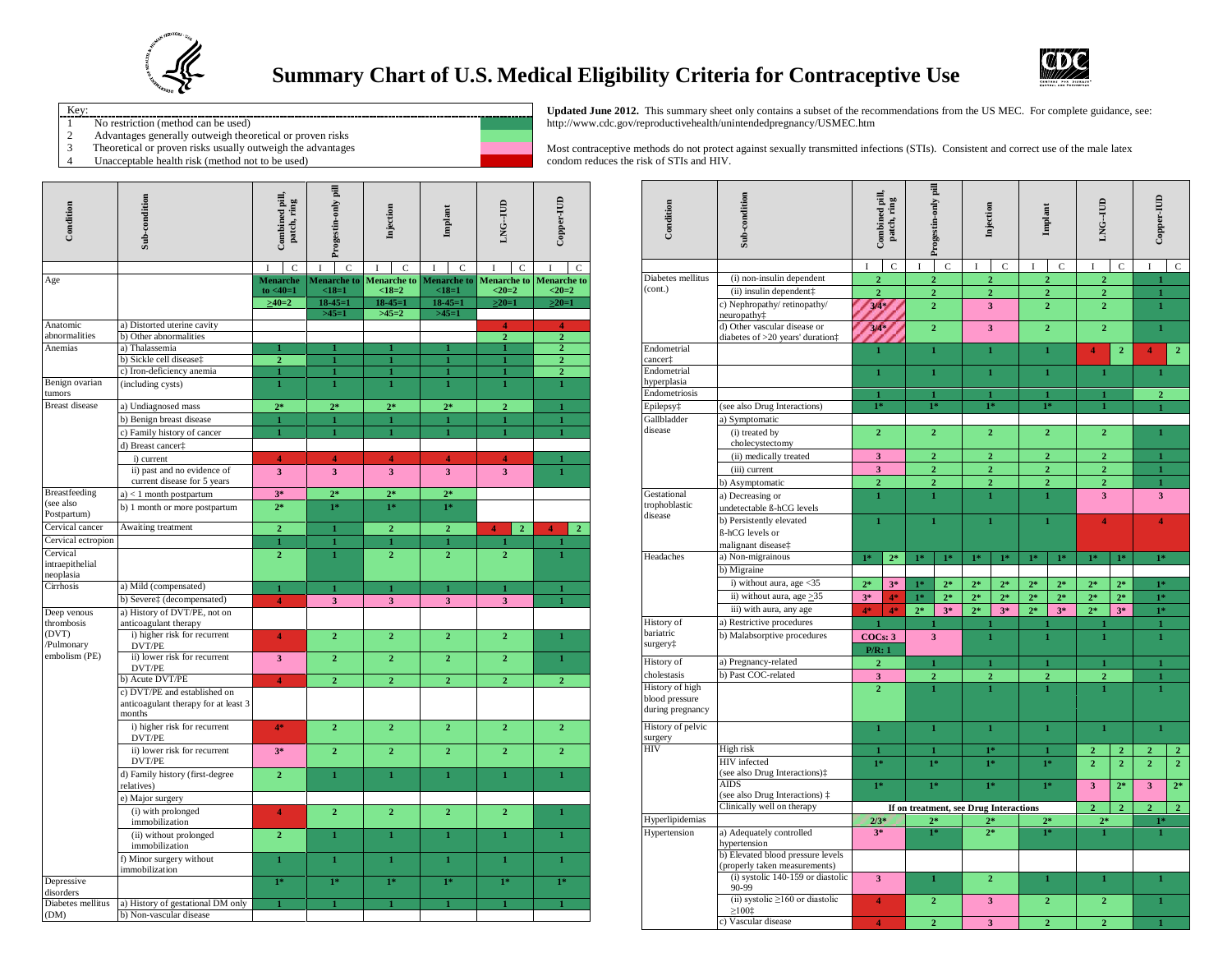

## **Summary Chart of U.S. Medical Eligibility Criteria for Contraceptive Use**



- Key: -------------------------
- 1 No restriction (method can be used)<br>2 Advantages generally outweigh theo
- 2 Advantages generally outweigh theoretical or proven risks<br>
3 Theoretical or proven risks usually outweigh the advantage
- 3 Theoretical or proven risks usually outweigh the advantages<br>4 Unacceptable health risk (method not to be used) Unacceptable health risk (method not to be used)



**Updated June 2012.** This summary sheet only contains a subset of the recommendations from the US MEC. For complete guidance, see: http://www.cdc.gov/reproductivehealth/unintendedpregnancy/USMEC.htm

Most contraceptive methods do not protect against sexually transmitted infections (STIs). Consistent and correct use of the male latex condom reduces the risk of STIs and HIV.

| Condition                                | Sub-condition                                                                  | Progestin-only pill<br>Combined pill,<br>patch, ring |                               | Injection               | Implant                       | LNG--IUD                                  | Copper-IUD                                |  |
|------------------------------------------|--------------------------------------------------------------------------------|------------------------------------------------------|-------------------------------|-------------------------|-------------------------------|-------------------------------------------|-------------------------------------------|--|
|                                          |                                                                                | $\overline{C}$                                       | $\overline{C}$                | $\mathcal{C}$           | $\overline{C}$                | $\overline{C}$                            | I<br>C                                    |  |
| Age                                      |                                                                                | <b>Menarche</b><br>to $< 40 = 1$                     | <b>Menarche</b> to<br>$<18=1$ | Menarche to<br>$<18=2$  | <b>Menarche</b> to<br>$<18=1$ | <b>Menarche</b> to<br>$20=2$              | <b>Menarche</b> to<br>$20=2$              |  |
|                                          |                                                                                | $>40=2$                                              | $18 - 45 = 1$                 | $18 - 45 = 1$           | $18 - 45 = 1$                 | $>20=1$                                   | $>20=1$                                   |  |
|                                          |                                                                                |                                                      | $>45=1$                       | $>45=2$                 | $>45=1$                       |                                           |                                           |  |
| Anatomic<br>abnormalities                | a) Distorted uterine cavity<br>b) Other abnormalities                          |                                                      |                               |                         |                               | $\overline{4}$<br>$\overline{2}$          | 4<br>$\overline{2}$                       |  |
| Anemias                                  | a) Thalassemia                                                                 | 1                                                    | 1                             |                         |                               | 1                                         | $\overline{2}$                            |  |
|                                          | b) Sickle cell diseaset                                                        | $\overline{2}$                                       | $\mathbf{1}$                  | 1                       | 1                             | 1                                         | $\overline{2}$                            |  |
|                                          | c) Iron-deficiency anemia                                                      | 1                                                    | $\mathbf{1}$                  | 1                       | 1                             | 1                                         | $\overline{2}$                            |  |
| Benign ovarian<br>tumors                 | (including cysts)                                                              | $\mathbf{1}$                                         | $\mathbf{1}$                  | $\mathbf{1}$            | $\mathbf{1}$                  | $\mathbf{1}$                              | $\mathbf{1}$                              |  |
| <b>Breast disease</b>                    | a) Undiagnosed mass                                                            | $2*$                                                 | $2*$                          | $2*$                    | $2*$                          | $\overline{2}$                            | $\mathbf{1}$                              |  |
|                                          | b) Benign breast disease                                                       | $\mathbf{1}$                                         | $\mathbf{1}$                  | $\mathbf{1}$            | $\mathbf{1}$                  | $\mathbf{1}$                              | $\mathbf{1}$                              |  |
|                                          | c) Family history of cancer                                                    | $\mathbf{1}$                                         | $\mathbf{1}$                  | $\mathbf{I}$            | 1                             | $\mathbf{1}$                              | $\mathbf{I}$                              |  |
|                                          | d) Breast cancer <sup>+</sup>                                                  |                                                      |                               |                         |                               |                                           |                                           |  |
|                                          | i) current                                                                     | 4                                                    | 4                             | 4                       | $\overline{4}$                | 4                                         | 1                                         |  |
|                                          | ii) past and no evidence of<br>current disease for 5 years                     | $\overline{\mathbf{3}}$                              | $\overline{\mathbf{3}}$       | $\overline{\mathbf{3}}$ | $\overline{\mathbf{3}}$       | $\overline{\mathbf{3}}$                   | $\mathbf{1}$                              |  |
| <b>Breastfeeding</b>                     | $a$ ) < 1 month postpartum                                                     | $3*$                                                 | $2*$                          | $2*$                    | $2*$                          |                                           |                                           |  |
| (see also<br>Postpartum)                 | b) 1 month or more postpartum                                                  | $2*$                                                 | $1*$                          | $1*$                    | $1*$                          |                                           |                                           |  |
| Cervical cancer                          | Awaiting treatment                                                             | $\mathbf{2}$                                         | $\mathbf{1}$                  | $\overline{2}$          | $\overline{2}$                | $\overline{\mathbf{4}}$<br>$\overline{2}$ | $\overline{\mathbf{4}}$<br>$\overline{2}$ |  |
| Cervical ectropion                       |                                                                                | 1                                                    | $\mathbf{1}$                  | $\mathbf{1}$            | 1                             | 1                                         |                                           |  |
| Cervical<br>intraepithelial<br>neoplasia |                                                                                | $\overline{2}$                                       | $\mathbf{1}$                  | $\overline{2}$          | $\overline{2}$                | $\overline{2}$                            | $\mathbf{1}$                              |  |
| Cirrhosis                                | a) Mild (compensated)                                                          | $\mathbf{1}$                                         | $\mathbf{1}$                  | $\mathbf{1}$            | $\mathbf{1}$                  | $\mathbf{1}$                              | $\mathbf{1}$                              |  |
|                                          | b) Severe‡ (decompensated)                                                     | 4                                                    | $\overline{\mathbf{3}}$       | $\overline{\mathbf{3}}$ | $\overline{\mathbf{3}}$       | $\overline{\mathbf{3}}$                   |                                           |  |
| Deep venous<br>thrombosis                | a) History of DVT/PE, not on                                                   |                                                      |                               |                         |                               |                                           |                                           |  |
| (DVT)<br>/Pulmonary                      | anticoagulant therapy<br>i) higher risk for recurrent<br>DVT/PE                | 4                                                    | $\overline{2}$                | $\overline{2}$          | $\overline{2}$                | $\overline{2}$                            | $\mathbf{I}$                              |  |
| embolism (PE)                            | ii) lower risk for recurrent<br>DVT/PE                                         | 3                                                    | $\overline{2}$                | $\overline{2}$          | $\overline{2}$                | $\overline{2}$                            | $\mathbf{1}$                              |  |
|                                          | b) Acute DVT/PE                                                                | 4                                                    | $\overline{2}$                | $\overline{2}$          | $\overline{2}$                | $\overline{2}$                            | $\overline{2}$                            |  |
|                                          | c) DVT/PE and established on<br>anticoagulant therapy for at least 3<br>months |                                                      |                               |                         |                               |                                           |                                           |  |
|                                          | i) higher risk for recurrent<br>DVT/PE                                         | $4*$                                                 | $\overline{2}$                | $\overline{2}$          | $\overline{2}$                | $\overline{2}$                            | $\overline{2}$                            |  |
|                                          | ii) lower risk for recurrent<br>DVT/PE                                         | $3*$                                                 | $\overline{2}$                | $\overline{2}$          | $\overline{2}$                | $\overline{2}$                            | $\overline{2}$                            |  |
|                                          | d) Family history (first-degree<br>relatives)                                  | $\overline{2}$                                       | $\mathbf{1}$                  | $\mathbf{1}$            | $\mathbf{1}$                  | $\mathbf{1}$                              | $\mathbf{1}$                              |  |
|                                          | e) Major surgery                                                               |                                                      |                               |                         |                               |                                           |                                           |  |
|                                          | (i) with prolonged<br>immobilization                                           | 4                                                    | $\overline{2}$                | $\overline{2}$          | $\overline{2}$                | $\overline{2}$                            | $\mathbf{1}$                              |  |
|                                          | (ii) without prolonged<br>immobilization                                       | $\overline{2}$                                       | $\mathbf{1}$                  | $\mathbf{1}$            | $\mathbf{1}$                  | $\mathbf{1}$                              | $\mathbf{I}$                              |  |
|                                          | f) Minor surgery without<br>immobilization                                     | $\mathbf{1}$                                         | $\mathbf 1$                   | $\mathbf{1}$            | $\mathbf{1}$                  | $\mathbf{1}$                              | $\mathbf{I}$                              |  |
| Depressive                               |                                                                                | $1*$                                                 | $1*$                          | $1*$                    | $1*$                          | $1*$                                      | $\overline{1^*}$                          |  |
| disorders                                |                                                                                |                                                      |                               |                         |                               |                                           |                                           |  |
| Diabetes mellitus<br>(DM)                | a) History of gestational DM only<br>b) Non-vascular disease                   | $\mathbf{1}$                                         | $\mathbf{1}$                  | $\mathbf{1}$            | $\mathbf{I}$                  | $\mathbf{1}$                              | $\mathbf{I}$                              |  |

| Condition                                             | Sub-condition                                                      |                                 | Combined pill,<br>patch, ring    |                                        | Progestin-only pill | Injection                  |                | Implant                 |                | LNG-TUD                          |                | Copper-IUD              |                |
|-------------------------------------------------------|--------------------------------------------------------------------|---------------------------------|----------------------------------|----------------------------------------|---------------------|----------------------------|----------------|-------------------------|----------------|----------------------------------|----------------|-------------------------|----------------|
|                                                       |                                                                    | I                               | $\overline{C}$                   | $\mathbf C$<br>I                       |                     | $\mathbf I$<br>$\mathbf C$ |                | $\rm I$<br>$\mathbf C$  |                | $\mathbf C$<br>I                 |                | I                       | $\overline{C}$ |
| Diabetes mellitus                                     | (i) non-insulin dependent                                          | $\overline{2}$                  |                                  | $\overline{2}$                         |                     | $\overline{2}$             |                | $\overline{a}$          |                | $\mathbf{2}$                     |                | 1                       |                |
| (cont.)                                               | (ii) insulin dependent $\ddagger$                                  | $\overline{2}$<br>3/4<br>$3/4*$ |                                  | $\overline{2}$                         |                     | $\overline{2}$             |                | $\overline{\mathbf{2}}$ |                | $\overline{2}$                   |                | $\mathbf{1}$            |                |
|                                                       | c) Nephropathy/retinopathy/<br>neuropathy <sup>+</sup>             |                                 |                                  |                                        | $\overline{2}$      |                            | 3              |                         | $\overline{2}$ |                                  | $\overline{2}$ |                         |                |
|                                                       | d) Other vascular disease or<br>diabetes of >20 years' duration‡   |                                 |                                  | $\overline{2}$                         |                     | $\overline{\mathbf{3}}$    |                | $\overline{2}$          |                | $\overline{2}$                   |                | $\mathbf{1}$            |                |
| Endometrial                                           |                                                                    | $\mathbf{1}$                    |                                  | $\mathbf{1}$                           |                     | $\mathbf{I}$               |                | $\mathbf{1}$            |                | $\overline{2}$<br>$\overline{4}$ |                | $\overline{\bf{4}}$     | $\overline{2}$ |
| cancert<br>Endometrial                                |                                                                    |                                 |                                  |                                        |                     |                            |                |                         |                |                                  |                |                         |                |
| hyperplasia                                           |                                                                    | $\mathbf{1}$                    |                                  | $\mathbf{1}$                           |                     | $\mathbf{1}$               |                |                         | $\mathbf{1}$   | $\mathbf{1}$                     |                | $\mathbf{1}$            |                |
| Endometriosis                                         |                                                                    | $\mathbf{1}$                    |                                  |                                        | 1                   | 1                          |                |                         | $\bf{1}$       | 1<br>1                           |                | $\overline{2}$          |                |
| Epilepsy <sup>+</sup>                                 | (see also Drug Interactions)                                       | $1*$                            |                                  |                                        | $1*$                |                            | 18             |                         | $1*$           |                                  |                |                         |                |
| Gallbladder<br>disease                                | a) Symptomatic                                                     |                                 |                                  |                                        |                     |                            |                |                         |                |                                  |                |                         |                |
|                                                       | (i) treated by<br>cholecystectomy                                  | $\overline{2}$                  |                                  |                                        | $\overline{2}$      |                            | $\overline{2}$ | $\overline{2}$          |                | $\overline{2}$                   |                | 1                       |                |
|                                                       | (ii) medically treated                                             | $\overline{\mathbf{3}}$         |                                  |                                        | $\overline{2}$      | $\overline{2}$             |                |                         | $\overline{2}$ | $\overline{2}$                   |                | $\mathbf{1}$            |                |
|                                                       | (iii) current                                                      | 3                               |                                  |                                        | $\overline{2}$      | $\overline{2}$             |                |                         | $\overline{2}$ | $\overline{2}$                   |                | 1                       |                |
|                                                       | b) Asymptomatic                                                    |                                 | $\overline{2}$<br>$\overline{2}$ |                                        | $\overline{2}$      |                            | $\overline{2}$ |                         | $\overline{2}$ |                                  | $\mathbf{I}$   |                         |                |
| Gestational<br>trophoblastic                          | a) Decreasing or<br>undetectable ß-hCG levels                      | $\mathbf{1}$<br>$\mathbf{1}$    |                                  | 1                                      |                     | $\mathbf{1}$               |                | 3                       |                | 3                                |                |                         |                |
| disease                                               | b) Persistently elevated<br>ß-hCG levels or                        | $\mathbf{1}$                    |                                  | $\mathbf{1}$                           |                     | $\mathbf{1}$               |                | $\mathbf{1}$            |                | $\overline{4}$                   |                | 4                       |                |
|                                                       | malignant disease <sup>+</sup>                                     |                                 |                                  |                                        |                     |                            |                |                         |                |                                  |                |                         |                |
| Headaches                                             | a) Non-migrainous                                                  | $1*$                            | $2*$                             | $1*$                                   | $1*$                | $1*$                       | $1*$           | $1*$                    | $1*$           | $1*$                             | $1*$           | $1*$                    |                |
|                                                       | b) Migraine                                                        |                                 |                                  |                                        |                     |                            |                |                         |                |                                  |                |                         |                |
|                                                       | i) without aura, age <35                                           | $2*$                            | $3*$                             | $1*$                                   | $2*$                | $2*$                       | $2*$           | $2*$                    | $2*$           | $2*$                             | $2*$           | $1*$                    |                |
|                                                       | ii) without aura, age > 35                                         | $3*$                            | 4*                               | $1*$                                   | $2*$                | $2*$                       | $2*$           | $2*$                    | $2*$           | $2*$                             | $2*$           | $1*$                    |                |
|                                                       | iii) with aura, any age                                            | 4*                              | 4*                               | $2*$                                   | $3*$                | $2*$                       | $3*$           | $2*$                    | $3*$           | $2*$                             | $3*$           | $1*$                    |                |
| <b>History</b> of                                     | a) Restrictive procedures                                          | 1                               |                                  |                                        |                     | 1                          |                | 1                       |                | $\mathbf{1}$                     |                | $\mathbf{1}$            |                |
| bariatric<br>surgery <sup>+</sup>                     | b) Malabsorptive procedures                                        | COCs: 3<br>P/R: 1               |                                  | $\overline{\mathbf{3}}$                |                     | 1                          |                | ī                       |                | $\mathbf{1}$                     |                | $\mathbf{1}$            |                |
| History of                                            | a) Pregnancy-related                                               | $\overline{2}$                  |                                  | $\mathbf{1}$                           |                     | $\mathbf{1}$               |                | $\mathbf{1}$            |                | $\mathbf{1}$                     |                | $\mathbf{1}$            |                |
| cholestasis                                           | b) Past COC-related                                                | 3                               |                                  |                                        | $\overline{2}$      | $\overline{2}$             |                | $\overline{2}$          |                | $\overline{2}$                   |                | $\mathbf{1}$            |                |
| History of high<br>blood pressure<br>during pregnancy |                                                                    | $\overline{2}$                  |                                  | $\mathbf{1}$                           |                     | 1                          |                | $\mathbf{1}$            |                | $\mathbf{1}$                     |                | $\mathbf{1}$            |                |
| History of pelvic<br>surgery                          |                                                                    | $\mathbf{1}$                    |                                  | $\mathbf{1}$                           |                     | $\mathbf{I}$               |                | $\mathbf{1}$            |                | $\mathbf{1}$                     |                | $\mathbf{I}$            |                |
| <b>HIV</b>                                            | High risk                                                          | $\mathbf{1}$                    |                                  |                                        | $\mathbf{1}$        | $1*$                       |                |                         | 1              | $\overline{2}$                   | $\overline{2}$ | $\overline{2}$          | $\overline{2}$ |
|                                                       | <b>HIV</b> infected<br>(see also Drug Interactions);               | $1*$                            |                                  | $1*$                                   |                     | $1*$                       |                | $1*$                    |                | $\overline{2}$                   | $\overline{2}$ | $\overline{2}$          | $\overline{2}$ |
|                                                       | <b>AIDS</b><br>(see also Drug Interactions) $\ddagger$             | $1*$                            |                                  | $1*$                                   |                     | $1*$                       |                | $1*$                    |                | $\overline{\mathbf{3}}$          | $2*$           | $\overline{\mathbf{3}}$ | $2*$           |
|                                                       | Clinically well on therapy                                         |                                 |                                  | If on treatment, see Drug Interactions |                     |                            |                |                         |                | $\overline{2}$<br>$\overline{2}$ |                | $\overline{2}$          | $\overline{2}$ |
| Hyperlipidemias                                       |                                                                    | $2/3*$                          |                                  | $2*$                                   |                     | $2*$                       |                | $2*$                    |                | $2*$                             |                | $1*$                    |                |
| Hypertension                                          | a) Adequately controlled<br>hypertension                           | $3*$                            |                                  | $1*$                                   |                     | $\overline{2^*}$           |                | $1*$                    |                | $\mathbf{1}$                     |                | $\mathbf{1}$            |                |
|                                                       | b) Elevated blood pressure levels<br>(properly taken measurements) |                                 |                                  |                                        |                     |                            |                |                         |                |                                  |                |                         |                |
|                                                       | $(i)$ systolic 140-159 or diastolic<br>90-99                       | 3                               |                                  | $\mathbf 1$                            |                     | $\overline{2}$             |                | $\mathbf{1}$            |                | $\mathbf{1}$                     |                | $\mathbf 1$             |                |
|                                                       | (ii) systolic $\geq$ 160 or diastolic<br>$\geq100$ t               | 4                               |                                  |                                        | $\overline{2}$      |                            | 3              |                         | $\overline{2}$ | $\overline{2}$                   |                | $\mathbf{1}$            |                |
|                                                       | c) Vascular disease                                                | 4                               |                                  | $\overline{2}$                         |                     | $\overline{\mathbf{3}}$    |                | $\overline{2}$          |                | $\overline{2}$                   |                | 1                       |                |